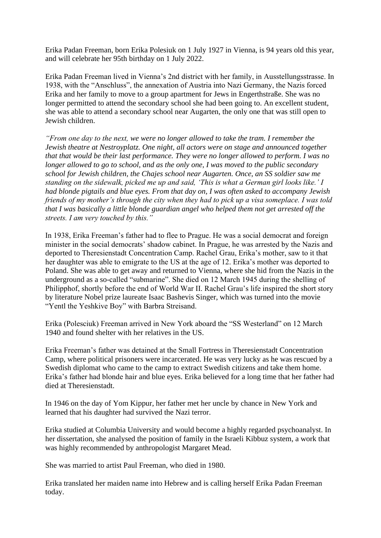Erika Padan Freeman, born Erika Polesiuk on 1 July 1927 in Vienna, is 94 years old this year, and will celebrate her 95th birthday on 1 July 2022.

Erika Padan Freeman lived in Vienna's 2nd district with her family, in Ausstellungsstrasse. In 1938, with the "Anschluss", the annexation of Austria into Nazi Germany, the Nazis forced Erika and her family to move to a group apartment for Jews in Engerthstraße. She was no longer permitted to attend the secondary school she had been going to. An excellent student, she was able to attend a secondary school near Augarten, the only one that was still open to Jewish children.

*"From one day to the next, we were no longer allowed to take the tram. I remember the Jewish theatre at Nestroyplatz. One night, all actors were on stage and announced together that that would be their last performance. They were no longer allowed to perform. I was no longer allowed to go to school, and as the only one, I was moved to the public secondary school for Jewish children, the Chajes school near Augarten. Once, an SS soldier saw me standing on the sidewalk, picked me up and said, 'This is what a German girl looks like.' I had blonde pigtails and blue eyes. From that day on, I was often asked to accompany Jewish friends of my mother's through the city when they had to pick up a visa someplace. I was told that I was basically a little blonde guardian angel who helped them not get arrested off the streets. I am very touched by this."*

In 1938, Erika Freeman's father had to flee to Prague. He was a social democrat and foreign minister in the social democrats' shadow cabinet. In Prague, he was arrested by the Nazis and deported to Theresienstadt Concentration Camp. Rachel Grau, Erika's mother, saw to it that her daughter was able to emigrate to the US at the age of 12. Erika's mother was deported to Poland. She was able to get away and returned to Vienna, where she hid from the Nazis in the underground as a so-called "submarine". She died on 12 March 1945 during the shelling of Philipphof, shortly before the end of World War II. Rachel Grau's life inspired the short story by literature Nobel prize laureate Isaac Bashevis Singer, which was turned into the movie "Yentl the Yeshkive Boy" with Barbra Streisand.

Erika (Polesciuk) Freeman arrived in New York aboard the "SS Westerland" on 12 March 1940 and found shelter with her relatives in the US.

Erika Freeman's father was detained at the Small Fortress in Theresienstadt Concentration Camp, where political prisoners were incarcerated. He was very lucky as he was rescued by a Swedish diplomat who came to the camp to extract Swedish citizens and take them home. Erika's father had blonde hair and blue eyes. Erika believed for a long time that her father had died at Theresienstadt.

In 1946 on the day of Yom Kippur, her father met her uncle by chance in New York and learned that his daughter had survived the Nazi terror.

Erika studied at Columbia University and would become a highly regarded psychoanalyst. In her dissertation, she analysed the position of family in the Israeli Kibbuz system, a work that was highly recommended by anthropologist Margaret Mead.

She was married to artist Paul Freeman, who died in 1980.

Erika translated her maiden name into Hebrew and is calling herself Erika Padan Freeman today.